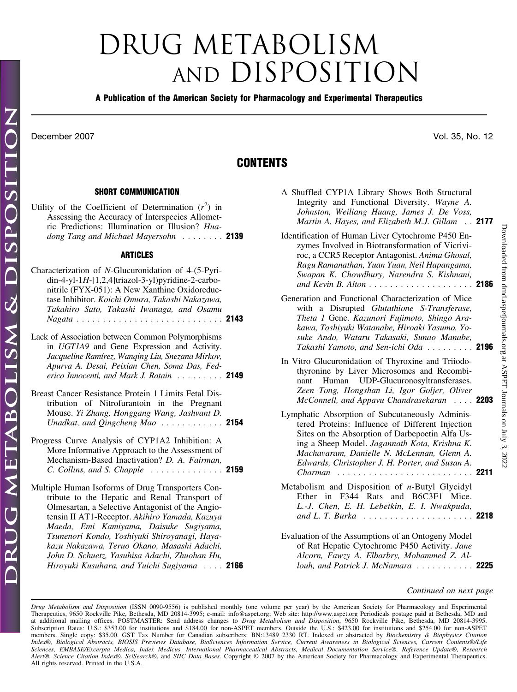## DRUG METABOLISM AND DISPOSITION

## **A Publication of the American Society for Pharmacology and Experimental Therapeutics**

December 2007 Vol. 35, No. 12

## **CONTENTS**

## **SHORT COMMUNICATION**

| Utility of the Coefficient of Determination $(r^2)$ in<br>Assessing the Accuracy of Interspecies Allomet-<br>ric Predictions: Illumination or Illusion? Hua-<br>dong Tang and Michael Mayersohn  2139                                                                     |  |
|---------------------------------------------------------------------------------------------------------------------------------------------------------------------------------------------------------------------------------------------------------------------------|--|
| <b>ARTICLES</b>                                                                                                                                                                                                                                                           |  |
| Characterization of N-Glucuronidation of 4-(5-Pyri-<br>$din-4-yl-1H-[1,2,4]triazol-3-yl)pyridine-2-carbo-$<br>nitrile (FYX-051): A New Xanthine Oxidoreduc-<br>tase Inhibitor. Koichi Omura, Takashi Nakazawa,<br>Takahiro Sato, Takashi Iwanaga, and Osamu               |  |
| Lack of Association between Common Polymorphisms<br>in UGT1A9 and Gene Expression and Activity.<br>Jacqueline Ramírez, Wanqing Liu, Snezana Mirkov,<br>Apurva A. Desai, Peixian Chen, Soma Das, Fed-<br>erico Innocenti, and Mark J. Ratain $\ldots \ldots$ . <b>2149</b> |  |
| Breast Cancer Resistance Protein 1 Limits Fetal Dis-<br>tribution of Nitrofurantoin in the Pregnant<br>Mouse. Yi Zhang, Honggang Wang, Jashvant D.<br>Unadkat, and Qingcheng Mao $\ldots \ldots \ldots$ 2154                                                              |  |
| Progress Curve Analysis of CYP1A2 Inhibition: A<br>More Informative Approach to the Assessment of<br>Mechanism-Based Inactivation? D. A. Fairman,<br><i>C. Collins, and S. Chapple</i> $\ldots \ldots \ldots \ldots \ldots$ <b>2159</b>                                   |  |
| Multiple Human Isoforms of Drug Transporters Con-<br>tribute to the Henatic and Renal Transport of                                                                                                                                                                        |  |

tribute to the Hepatic and Renal Transport of Olmesartan, a Selective Antagonist of the Angiotensin II AT1-Receptor. *Akihiro Yamada, Kazuya Maeda, Emi Kamiyama, Daisuke Sugiyama, Tsunenori Kondo, Yoshiyuki Shiroyanagi, Hayakazu Nakazawa, Teruo Okano, Masashi Adachi, John D. Schuetz, Yasuhisa Adachi, Zhuohan Hu, Hiroyuki Kusuhara, and Yuichi Sugiyama* .... **2166**

| Johnston, Weiliang Huang, James J. De Voss,<br>Martin A. Hayes, and Elizabeth M.J. Gillam 2177                                                                                                                                                                                                                            |  |
|---------------------------------------------------------------------------------------------------------------------------------------------------------------------------------------------------------------------------------------------------------------------------------------------------------------------------|--|
| Identification of Human Liver Cytochrome P450 En-<br>zymes Involved in Biotransformation of Vicrivi-<br>roc, a CCR5 Receptor Antagonist. Anima Ghosal,<br>Ragu Ramanathan, Yuan Yuan, Neil Hapangama,<br>Swapan K. Chowdhury, Narendra S. Kishnani,<br>and Kevin B. Alton 2186                                            |  |
| Generation and Functional Characterization of Mice<br>with a Disrupted Glutathione S-Transferase,<br>Theta 1 Gene. Kazunori Fujimoto, Shingo Ara-<br>kawa, Toshiyuki Watanabe, Hiroaki Yasumo, Yo-<br>suke Ando, Wataru Takasaki, Sunao Manabe,<br>Takashi Yamoto, and Sen-ichi Oda 2196                                  |  |
| In Vitro Glucuronidation of Thyroxine and Triiodo-<br>thyronine by Liver Microsomes and Recombi-<br>nant Human UDP-Glucuronosyltransferases.<br>Zeen Tong, Hongshan Li, Igor Goljer, Oliver<br>McConnell, and Appavu Chandrasekaran  2203                                                                                 |  |
| Lymphatic Absorption of Subcutaneously Adminis-<br>tered Proteins: Influence of Different Injection<br>Sites on the Absorption of Darbepoetin Alfa Us-<br>ing a Sheep Model. Jagannath Kota, Krishna K.<br>Machavaram, Danielle N. McLennan, Glenn A.<br>Edwards, Christopher J. H. Porter, and Susan A.<br>Charman  2211 |  |
| Metabolism and Disposition of n-Butyl Glycidyl<br>Ether in F344 Rats and B6C3F1 Mice.<br>L.-J. Chen, E. H. Lebetkin, E. I. Nwakpuda,                                                                                                                                                                                      |  |

A Shuffled CYP1A Library Shows Both Structural Integrity and Functional Diversity. *Wayne A.*

Evaluation of the Assumptions of an Ontogeny Model of Rat Hepatic Cytochrome P450 Activity. *Jane Alcorn, Fawzy A. Elbarbry, Mohammed Z. Allouh, and Patrick J. McNamara* ........... **2225**

*and L. T. Burka* ..................... **2218**

*Continued on next page*

*Drug Metabolism and Disposition* (ISSN 0090-9556) is published monthly (one volume per year) by the American Society for Pharmacology and Experimental Therapeutics, 9650 Rockville Pike, Bethesda, MD 20814-3995; e-mail: info@aspet.org; Web site: http://www.aspet.org Periodicals postage paid at Bethesda, MD and at additional mailing offices. POSTMASTER: Send address changes to *Drug Metabolism and Disposition*, 9650 Rockville Pike, Bethesda, MD 20814-3995. Subscription Rates: U.S.: \$353.00 for institutions and \$184.00 for non-ASPET members. Outside the U.S.: \$423.00 for institutions and \$254.00 for non-ASPET members. Single copy: \$35.00. GST Tax Number for Canadian subscribe *Index®, Biological Abstracts, BIOSIS Previews Database, BioSciences Information Service, Current Awareness in Biological Sciences, Current Contents®/Life Sciences, EMBASE/Excerpta Medica, Index Medicus, International Pharmaceutical Abstracts, Medical Documentation Service®, Reference Update®, Research Alert®, Science Citation Index*®, *SciSearch*®, and *SIIC Data Bases*. Copyright © 2007 by the American Society for Pharmacology and Experimental Therapeutics. All rights reserved. Printed in the U.S.A.